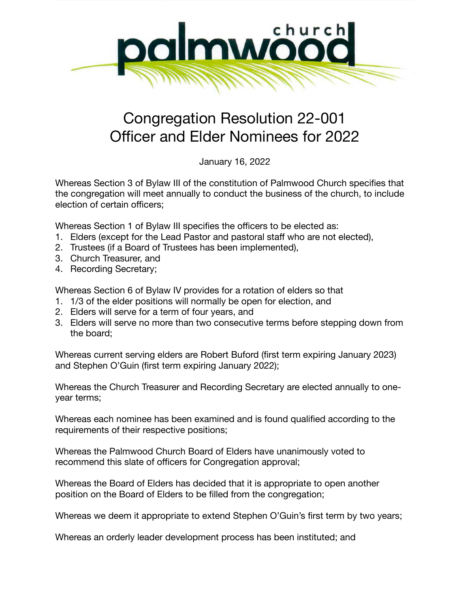

## Congregation Resolution 22-001 Officer and Elder Nominees for 2022

January 16, 2022

Whereas Section 3 of Bylaw III of the constitution of Palmwood Church specifies that the congregation will meet annually to conduct the business of the church, to include election of certain officers;

Whereas Section 1 of Bylaw III specifies the officers to be elected as:

- 1. Elders (except for the Lead Pastor and pastoral staff who are not elected),
- 2. Trustees (if a Board of Trustees has been implemented),
- 3. Church Treasurer, and
- 4. Recording Secretary;

Whereas Section 6 of Bylaw IV provides for a rotation of elders so that

- 1. 1/3 of the elder positions will normally be open for election, and
- 2. Elders will serve for a term of four years, and
- 3. Elders will serve no more than two consecutive terms before stepping down from the board;

Whereas current serving elders are Robert Buford (first term expiring January 2023) and Stephen O'Guin (first term expiring January 2022);

Whereas the Church Treasurer and Recording Secretary are elected annually to oneyear terms;

Whereas each nominee has been examined and is found qualified according to the requirements of their respective positions;

Whereas the Palmwood Church Board of Elders have unanimously voted to recommend this slate of officers for Congregation approval;

Whereas the Board of Elders has decided that it is appropriate to open another position on the Board of Elders to be filled from the congregation;

Whereas we deem it appropriate to extend Stephen O'Guin's first term by two years;

Whereas an orderly leader development process has been instituted; and